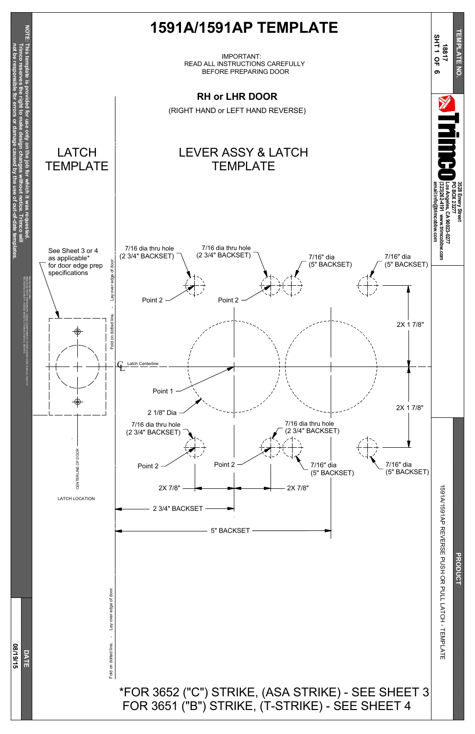E R S E PUSH O R PULL<br>L LATCH - TEMPLATE

**PRODUCT** 

Fold on dotted line. - Lay over edge of door. Lay over edge of door Fold on dotted line.





## \*FOR 3652 ("C") STRIKE, (ASA STRIKE) - SEE SHEET 3 FOR 3651 ("B") STRIKE, (T-STRIKE) - SEE SHEET 4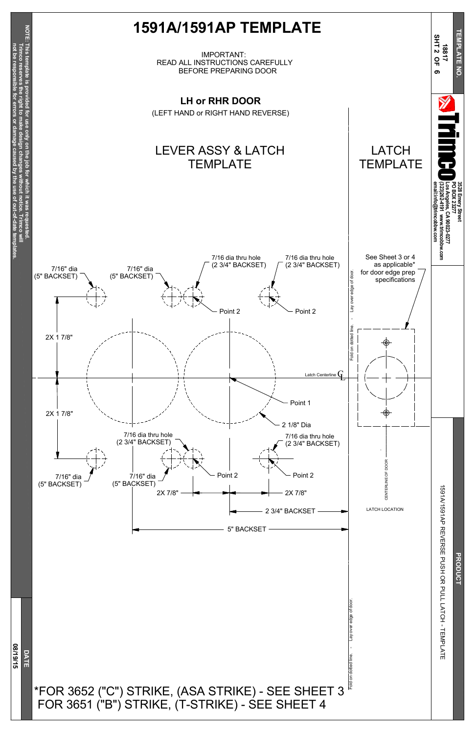# E R S E PUSH O R PULL<br>L LATCH - TEMPLATE

Fold on dotted line. - Lay over edge of door. Lay over edge of door Fold on dotted line.

**D A T E**

**0 8/19/15**



# **PRODUCT**

# \*FOR 3652 ("C") STRIKE, (ASA STRIKE) - SEE SHEET 3 FOR 3651 ("B") STRIKE, (T-STRIKE) - SEE SHEET 4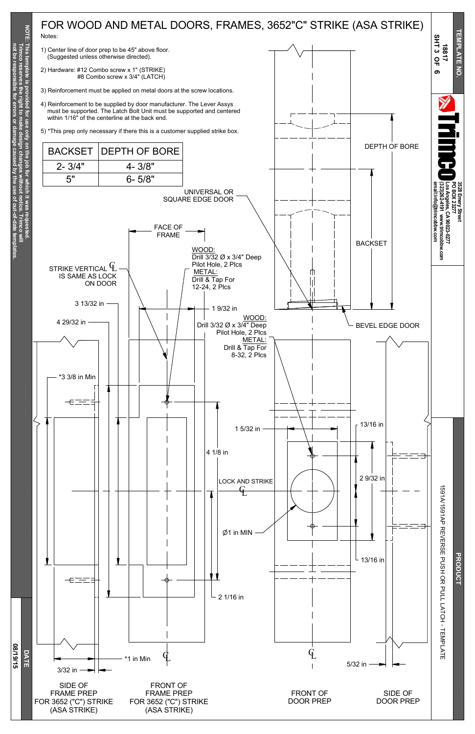**not resp for or damage caused b y the of**

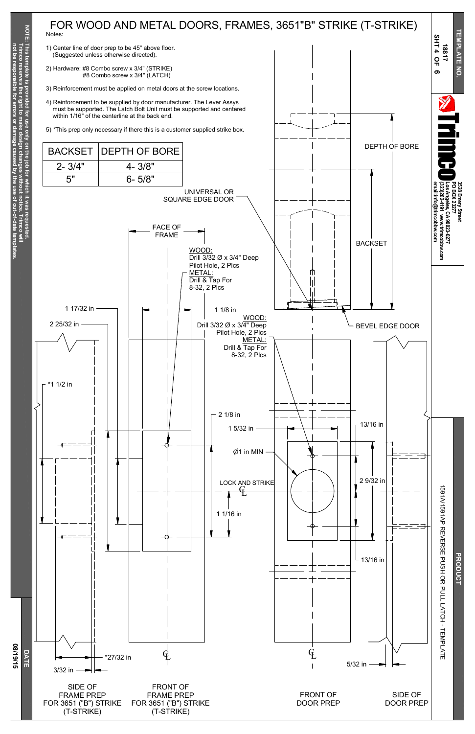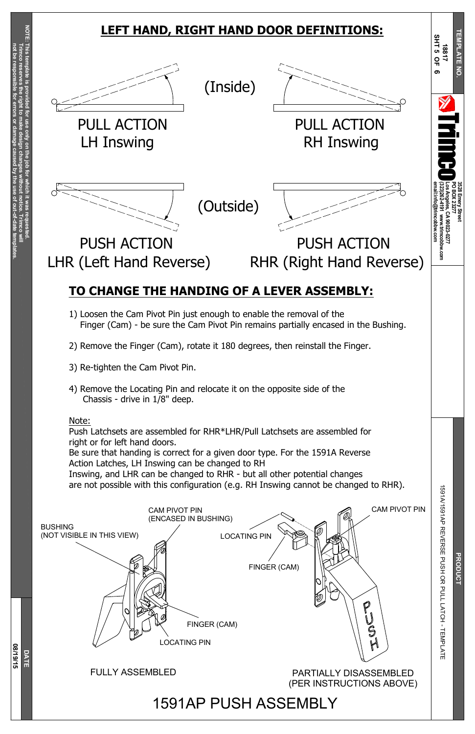**3528**

**Emery**

**Street**

**PO B OX 23277**

**Los**

**90023-0277**

**T E M P L A T E N O.**

**Trim c o** §<br>≡

**N O T E: This tem plate is pro vided**

**for use only on the jo b for**

> **which it was**

> > E R S E PUSH O R PULL<br>L LATCH - TEMPLATE

**PRODUCT** 

**requested.**

**Trim c o**

**reserves**

**the right to make**

**design**

**changes**

**without**

**notice.**

**not be resp**

**onsible**

**for**

**errors**

**or**

**damage**

**caused**

**b y the use of**

**out-of-date**

**tem**

**plates.**

**D A T E**

**0 8/19/15**

91A/15

6ا<br>P<br>P

ス<br>マロ

CAM PIVOT PIN

<u>ন</u>

BUSHING (NOT VISIBLE IN THIS VIEW)



CAM PIVOT PIN (ENCASED IN BUSHING)







#### FULLY ASSEMBLED

# **LEFT HAND, RIGHT HAND DOOR DEFINITIONS:**

1591AP PUSH ASSEMBLY

# **TO CHANGE THE HANDING OF A LEVER ASSEMBLY:**

- 1) Loosen the Cam Pivot Pin just enough to enable the removal of the Finger (Cam) - be sure the Cam Pivot Pin remains partially encased in the Bushing.
- 2) Remove the Finger (Cam), rotate it 180 degrees, then reinstall the Finger.
- 3) Re-tighten the Cam Pivot Pin.
- 4) Remove the Locating Pin and relocate it on the opposite side of the Chassis - drive in 1/8" deep.

#### Note:

Push Latchsets are assembled for RHR\*LHR/Pull Latchsets are assembled for right or for left hand doors.

Be sure that handing is correct for a given door type. For the 1591A Reverse Action Latches, LH Inswing can be changed to RH

Inswing, and LHR can be changed to RHR - but all other potential changes are not possible with this configuration (e.g. RH Inswing cannot be changed to RHR).